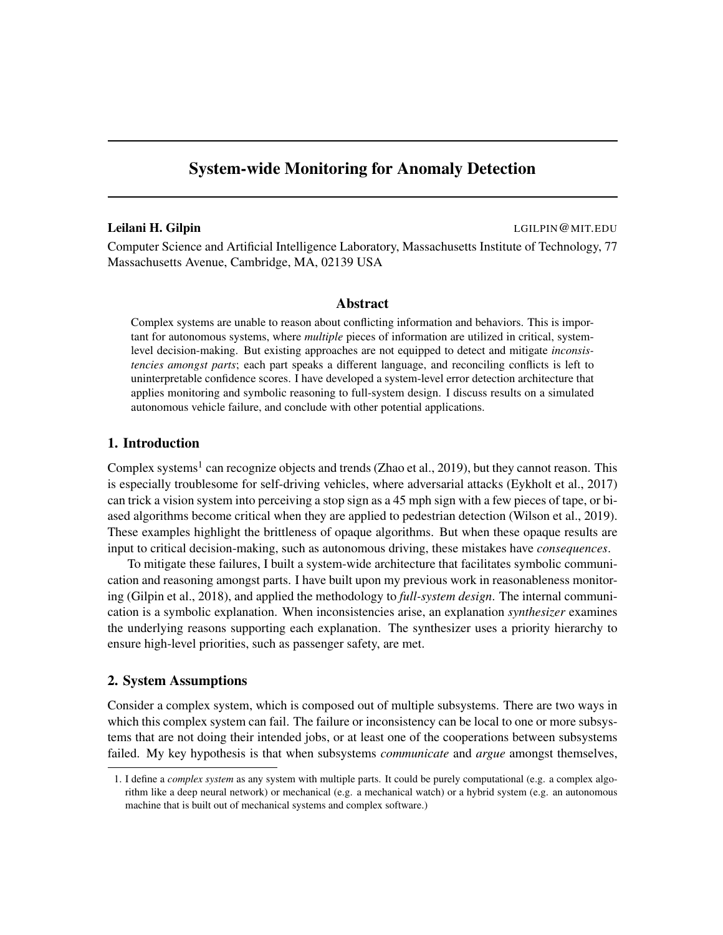# System-wide Monitoring for Anomaly Detection

## Leilani H. Gilpin and the contract of the contract of the contract of the contract of the contract of the contract of the contract of the contract of the contract of the contract of the contract of the contract of the cont

Computer Science and Artificial Intelligence Laboratory, Massachusetts Institute of Technology, 77 Massachusetts Avenue, Cambridge, MA, 02139 USA

#### Abstract

Complex systems are unable to reason about conflicting information and behaviors. This is important for autonomous systems, where *multiple* pieces of information are utilized in critical, systemlevel decision-making. But existing approaches are not equipped to detect and mitigate *inconsistencies amongst parts*; each part speaks a different language, and reconciling conflicts is left to uninterpretable confidence scores. I have developed a system-level error detection architecture that applies monitoring and symbolic reasoning to full-system design. I discuss results on a simulated autonomous vehicle failure, and conclude with other potential applications.

## 1. Introduction

Complex systems<sup>1</sup> can recognize objects and trends (Zhao et al., 2019), but they cannot reason. This is especially troublesome for self-driving vehicles, where adversarial attacks (Eykholt et al., 2017) can trick a vision system into perceiving a stop sign as a 45 mph sign with a few pieces of tape, or biased algorithms become critical when they are applied to pedestrian detection (Wilson et al., 2019). These examples highlight the brittleness of opaque algorithms. But when these opaque results are input to critical decision-making, such as autonomous driving, these mistakes have *consequences*.

To mitigate these failures, I built a system-wide architecture that facilitates symbolic communication and reasoning amongst parts. I have built upon my previous work in reasonableness monitoring (Gilpin et al., 2018), and applied the methodology to *full-system design*. The internal communication is a symbolic explanation. When inconsistencies arise, an explanation *synthesizer* examines the underlying reasons supporting each explanation. The synthesizer uses a priority hierarchy to ensure high-level priorities, such as passenger safety, are met.

# 2. System Assumptions

Consider a complex system, which is composed out of multiple subsystems. There are two ways in which this complex system can fail. The failure or inconsistency can be local to one or more subsystems that are not doing their intended jobs, or at least one of the cooperations between subsystems failed. My key hypothesis is that when subsystems *communicate* and *argue* amongst themselves,

<sup>1.</sup> I define a *complex system* as any system with multiple parts. It could be purely computational (e.g. a complex algorithm like a deep neural network) or mechanical (e.g. a mechanical watch) or a hybrid system (e.g. an autonomous machine that is built out of mechanical systems and complex software.)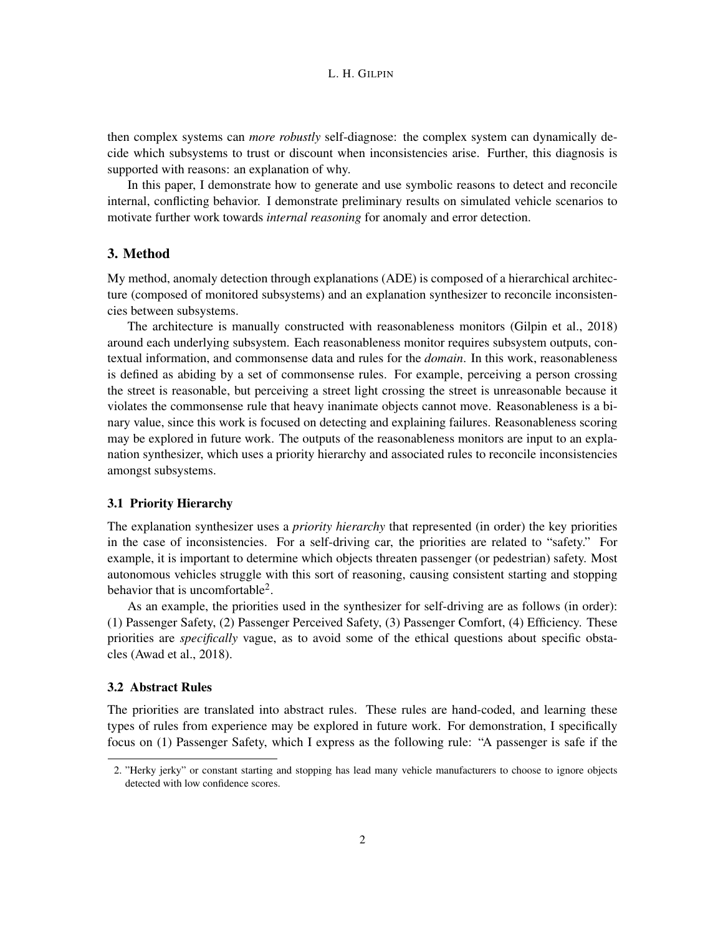then complex systems can *more robustly* self-diagnose: the complex system can dynamically decide which subsystems to trust or discount when inconsistencies arise. Further, this diagnosis is supported with reasons: an explanation of why.

In this paper, I demonstrate how to generate and use symbolic reasons to detect and reconcile internal, conflicting behavior. I demonstrate preliminary results on simulated vehicle scenarios to motivate further work towards *internal reasoning* for anomaly and error detection.

# 3. Method

My method, anomaly detection through explanations (ADE) is composed of a hierarchical architecture (composed of monitored subsystems) and an explanation synthesizer to reconcile inconsistencies between subsystems.

The architecture is manually constructed with reasonableness monitors (Gilpin et al., 2018) around each underlying subsystem. Each reasonableness monitor requires subsystem outputs, contextual information, and commonsense data and rules for the *domain*. In this work, reasonableness is defined as abiding by a set of commonsense rules. For example, perceiving a person crossing the street is reasonable, but perceiving a street light crossing the street is unreasonable because it violates the commonsense rule that heavy inanimate objects cannot move. Reasonableness is a binary value, since this work is focused on detecting and explaining failures. Reasonableness scoring may be explored in future work. The outputs of the reasonableness monitors are input to an explanation synthesizer, which uses a priority hierarchy and associated rules to reconcile inconsistencies amongst subsystems.

#### 3.1 Priority Hierarchy

The explanation synthesizer uses a *priority hierarchy* that represented (in order) the key priorities in the case of inconsistencies. For a self-driving car, the priorities are related to "safety." For example, it is important to determine which objects threaten passenger (or pedestrian) safety. Most autonomous vehicles struggle with this sort of reasoning, causing consistent starting and stopping behavior that is uncomfortable<sup>2</sup>.

As an example, the priorities used in the synthesizer for self-driving are as follows (in order): (1) Passenger Safety, (2) Passenger Perceived Safety, (3) Passenger Comfort, (4) Efficiency. These priorities are *specifically* vague, as to avoid some of the ethical questions about specific obstacles (Awad et al., 2018).

#### 3.2 Abstract Rules

The priorities are translated into abstract rules. These rules are hand-coded, and learning these types of rules from experience may be explored in future work. For demonstration, I specifically focus on (1) Passenger Safety, which I express as the following rule: "A passenger is safe if the

<sup>2. &</sup>quot;Herky jerky" or constant starting and stopping has lead many vehicle manufacturers to choose to ignore objects detected with low confidence scores.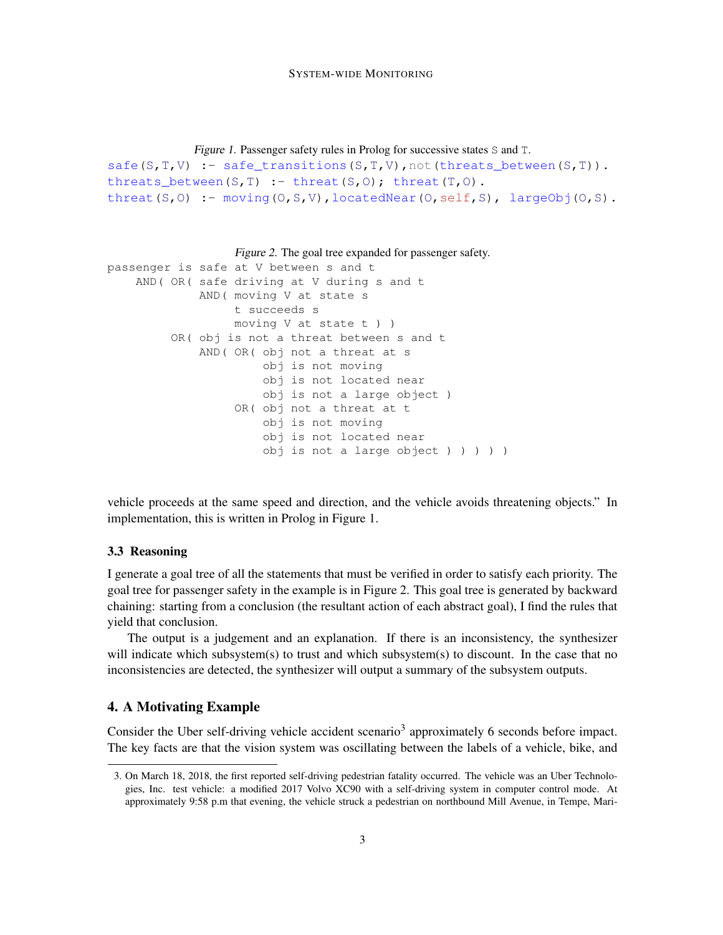```
Figure 1. Passenger safety rules in Prolog for successive states S and T.
safe(S,T,V) :- safe transitions(S,T,V),not(threats between(S,T)).
threats_between(S,T) :- threat(S,O); threat(T,O).
threat(S,O) :- moving(O,S,V), locatedNear(O,self,S), largeObj(O,S).
```
Figure 2. The goal tree expanded for passenger safety.

```
passenger is safe at V between s and t
   AND( OR( safe driving at V during s and t
             AND( moving V at state s
                  t succeeds s
                  moving V at state t ) )
         OR( obj is not a threat between s and t
             AND( OR( obj not a threat at s
                      obj is not moving
                      obj is not located near
                      obj is not a large object )
                  OR( obj not a threat at t
                      obj is not moving
                      obj is not located near
                      obj is not a large object ) ) ) ) )
```
vehicle proceeds at the same speed and direction, and the vehicle avoids threatening objects." In implementation, this is written in Prolog in Figure 1.

### 3.3 Reasoning

I generate a goal tree of all the statements that must be verified in order to satisfy each priority. The goal tree for passenger safety in the example is in Figure 2. This goal tree is generated by backward chaining: starting from a conclusion (the resultant action of each abstract goal), I find the rules that yield that conclusion.

The output is a judgement and an explanation. If there is an inconsistency, the synthesizer will indicate which subsystem(s) to trust and which subsystem(s) to discount. In the case that no inconsistencies are detected, the synthesizer will output a summary of the subsystem outputs.

## 4. A Motivating Example

Consider the Uber self-driving vehicle accident scenario<sup>3</sup> approximately 6 seconds before impact. The key facts are that the vision system was oscillating between the labels of a vehicle, bike, and

<sup>3.</sup> On March 18, 2018, the first reported self-driving pedestrian fatality occurred. The vehicle was an Uber Technologies, Inc. test vehicle: a modified 2017 Volvo XC90 with a self-driving system in computer control mode. At approximately 9:58 p.m that evening, the vehicle struck a pedestrian on northbound Mill Avenue, in Tempe, Mari-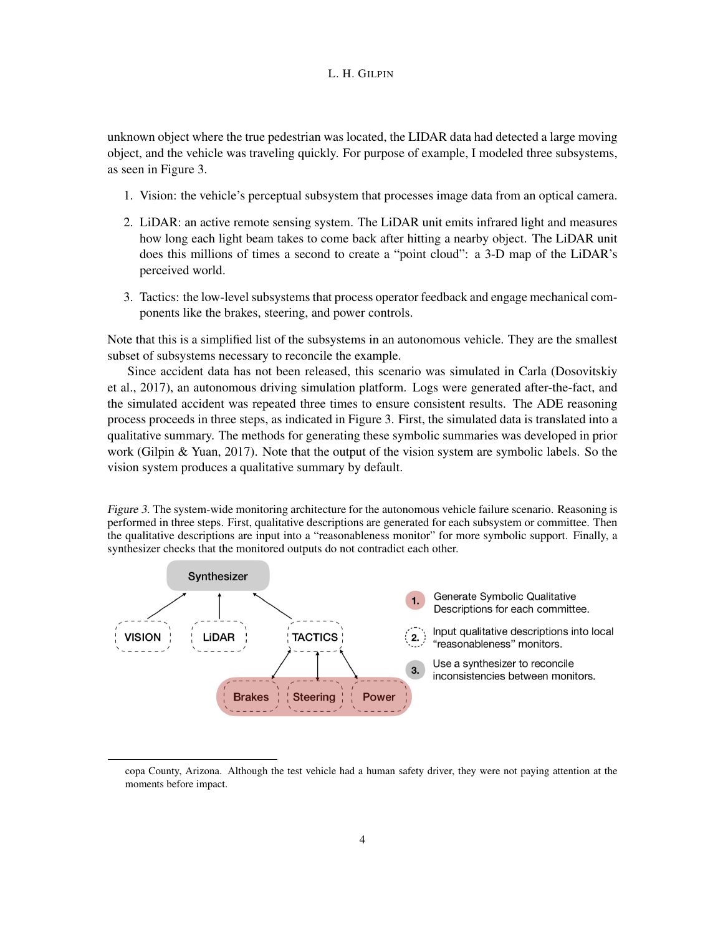unknown object where the true pedestrian was located, the LIDAR data had detected a large moving object, and the vehicle was traveling quickly. For purpose of example, I modeled three subsystems, as seen in Figure 3.

- 1. Vision: the vehicle's perceptual subsystem that processes image data from an optical camera.
- 2. LiDAR: an active remote sensing system. The LiDAR unit emits infrared light and measures how long each light beam takes to come back after hitting a nearby object. The LiDAR unit does this millions of times a second to create a "point cloud": a 3-D map of the LiDAR's perceived world.
- 3. Tactics: the low-level subsystems that process operator feedback and engage mechanical components like the brakes, steering, and power controls.

Note that this is a simplified list of the subsystems in an autonomous vehicle. They are the smallest subset of subsystems necessary to reconcile the example.

Since accident data has not been released, this scenario was simulated in Carla (Dosovitskiy et al., 2017), an autonomous driving simulation platform. Logs were generated after-the-fact, and the simulated accident was repeated three times to ensure consistent results. The ADE reasoning process proceeds in three steps, as indicated in Figure 3. First, the simulated data is translated into a qualitative summary. The methods for generating these symbolic summaries was developed in prior work (Gilpin & Yuan, 2017). Note that the output of the vision system are symbolic labels. So the vision system produces a qualitative summary by default.

Figure 3. The system-wide monitoring architecture for the autonomous vehicle failure scenario. Reasoning is performed in three steps. First, qualitative descriptions are generated for each subsystem or committee. Then the qualitative descriptions are input into a "reasonableness monitor" for more symbolic support. Finally, a synthesizer checks that the monitored outputs do not contradict each other.



copa County, Arizona. Although the test vehicle had a human safety driver, they were not paying attention at the moments before impact.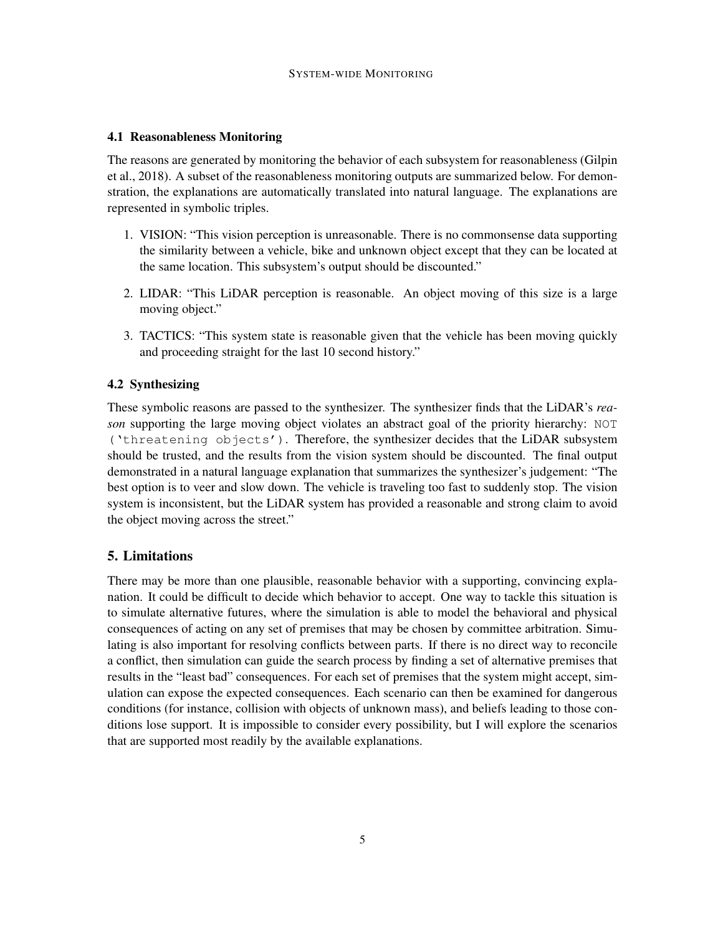#### 4.1 Reasonableness Monitoring

The reasons are generated by monitoring the behavior of each subsystem for reasonableness (Gilpin et al., 2018). A subset of the reasonableness monitoring outputs are summarized below. For demonstration, the explanations are automatically translated into natural language. The explanations are represented in symbolic triples.

- 1. VISION: "This vision perception is unreasonable. There is no commonsense data supporting the similarity between a vehicle, bike and unknown object except that they can be located at the same location. This subsystem's output should be discounted."
- 2. LIDAR: "This LiDAR perception is reasonable. An object moving of this size is a large moving object."
- 3. TACTICS: "This system state is reasonable given that the vehicle has been moving quickly and proceeding straight for the last 10 second history."

# 4.2 Synthesizing

These symbolic reasons are passed to the synthesizer. The synthesizer finds that the LiDAR's *reason* supporting the large moving object violates an abstract goal of the priority hierarchy: NOT ('threatening objects'). Therefore, the synthesizer decides that the LiDAR subsystem should be trusted, and the results from the vision system should be discounted. The final output demonstrated in a natural language explanation that summarizes the synthesizer's judgement: "The best option is to veer and slow down. The vehicle is traveling too fast to suddenly stop. The vision system is inconsistent, but the LiDAR system has provided a reasonable and strong claim to avoid the object moving across the street."

## 5. Limitations

There may be more than one plausible, reasonable behavior with a supporting, convincing explanation. It could be difficult to decide which behavior to accept. One way to tackle this situation is to simulate alternative futures, where the simulation is able to model the behavioral and physical consequences of acting on any set of premises that may be chosen by committee arbitration. Simulating is also important for resolving conflicts between parts. If there is no direct way to reconcile a conflict, then simulation can guide the search process by finding a set of alternative premises that results in the "least bad" consequences. For each set of premises that the system might accept, simulation can expose the expected consequences. Each scenario can then be examined for dangerous conditions (for instance, collision with objects of unknown mass), and beliefs leading to those conditions lose support. It is impossible to consider every possibility, but I will explore the scenarios that are supported most readily by the available explanations.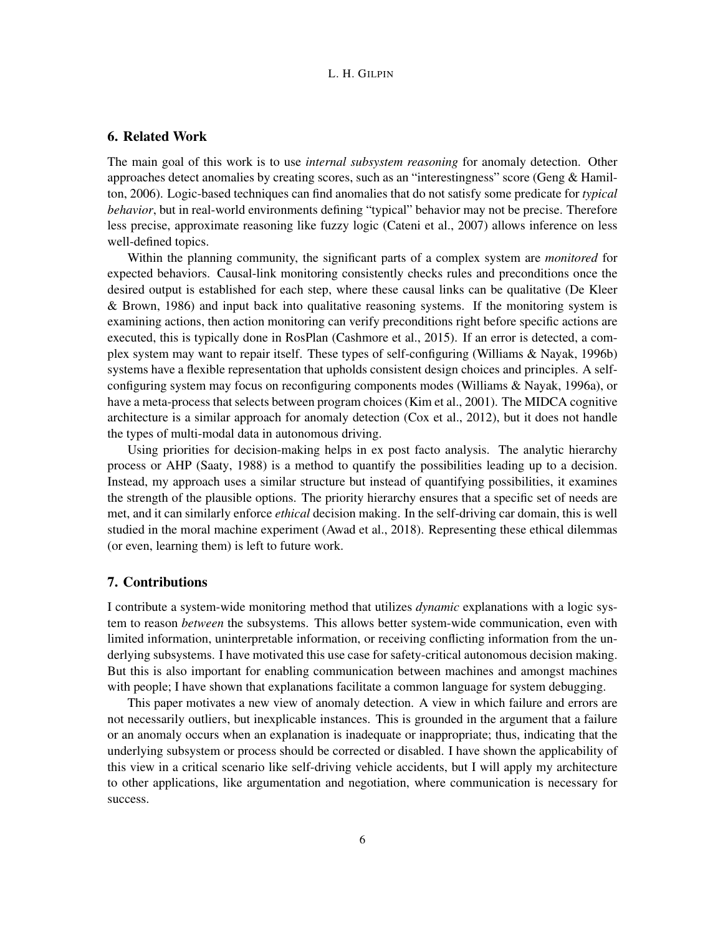## 6. Related Work

The main goal of this work is to use *internal subsystem reasoning* for anomaly detection. Other approaches detect anomalies by creating scores, such as an "interestingness" score (Geng & Hamilton, 2006). Logic-based techniques can find anomalies that do not satisfy some predicate for *typical behavior*, but in real-world environments defining "typical" behavior may not be precise. Therefore less precise, approximate reasoning like fuzzy logic (Cateni et al., 2007) allows inference on less well-defined topics.

Within the planning community, the significant parts of a complex system are *monitored* for expected behaviors. Causal-link monitoring consistently checks rules and preconditions once the desired output is established for each step, where these causal links can be qualitative (De Kleer & Brown, 1986) and input back into qualitative reasoning systems. If the monitoring system is examining actions, then action monitoring can verify preconditions right before specific actions are executed, this is typically done in RosPlan (Cashmore et al., 2015). If an error is detected, a complex system may want to repair itself. These types of self-configuring (Williams & Nayak, 1996b) systems have a flexible representation that upholds consistent design choices and principles. A selfconfiguring system may focus on reconfiguring components modes (Williams & Nayak, 1996a), or have a meta-process that selects between program choices (Kim et al., 2001). The MIDCA cognitive architecture is a similar approach for anomaly detection (Cox et al., 2012), but it does not handle the types of multi-modal data in autonomous driving.

Using priorities for decision-making helps in ex post facto analysis. The analytic hierarchy process or AHP (Saaty, 1988) is a method to quantify the possibilities leading up to a decision. Instead, my approach uses a similar structure but instead of quantifying possibilities, it examines the strength of the plausible options. The priority hierarchy ensures that a specific set of needs are met, and it can similarly enforce *ethical* decision making. In the self-driving car domain, this is well studied in the moral machine experiment (Awad et al., 2018). Representing these ethical dilemmas (or even, learning them) is left to future work.

#### 7. Contributions

I contribute a system-wide monitoring method that utilizes *dynamic* explanations with a logic system to reason *between* the subsystems. This allows better system-wide communication, even with limited information, uninterpretable information, or receiving conflicting information from the underlying subsystems. I have motivated this use case for safety-critical autonomous decision making. But this is also important for enabling communication between machines and amongst machines with people; I have shown that explanations facilitate a common language for system debugging.

This paper motivates a new view of anomaly detection. A view in which failure and errors are not necessarily outliers, but inexplicable instances. This is grounded in the argument that a failure or an anomaly occurs when an explanation is inadequate or inappropriate; thus, indicating that the underlying subsystem or process should be corrected or disabled. I have shown the applicability of this view in a critical scenario like self-driving vehicle accidents, but I will apply my architecture to other applications, like argumentation and negotiation, where communication is necessary for success.